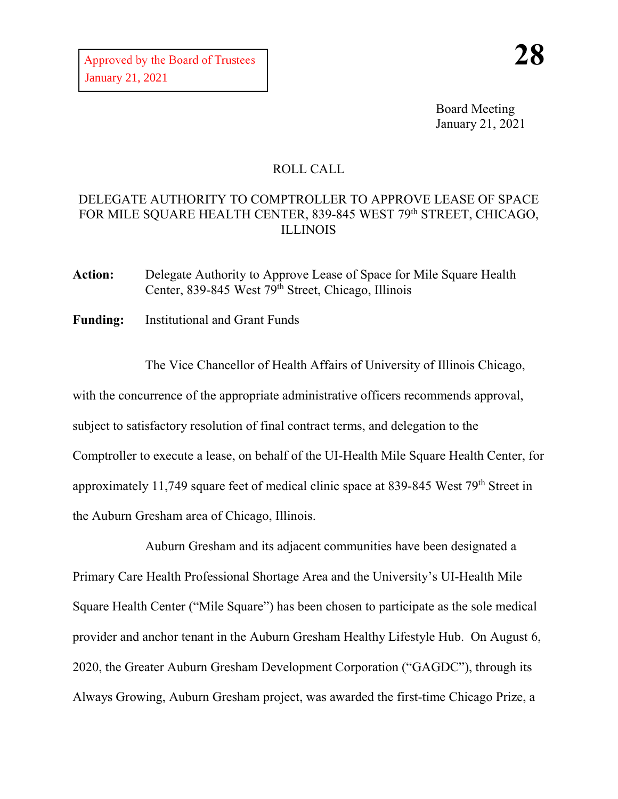Board Meeting January 21, 2021

## ROLL CALL

## DELEGATE AUTHORITY TO COMPTROLLER TO APPROVE LEASE OF SPACE FOR MILE SQUARE HEALTH CENTER, 839-845 WEST 79th STREET, CHICAGO, ILLINOIS

**Action:** Delegate Authority to Approve Lease of Space for Mile Square Health Center, 839-845 West 79<sup>th</sup> Street, Chicago, Illinois

**Funding:** Institutional and Grant Funds

The Vice Chancellor of Health Affairs of University of Illinois Chicago, with the concurrence of the appropriate administrative officers recommends approval, subject to satisfactory resolution of final contract terms, and delegation to the Comptroller to execute a lease, on behalf of the UI-Health Mile Square Health Center, for approximately 11,749 square feet of medical clinic space at 839-845 West 79th Street in the Auburn Gresham area of Chicago, Illinois.

Auburn Gresham and its adjacent communities have been designated a Primary Care Health Professional Shortage Area and the University's UI-Health Mile Square Health Center ("Mile Square") has been chosen to participate as the sole medical provider and anchor tenant in the Auburn Gresham Healthy Lifestyle Hub. On August 6, 2020, the Greater Auburn Gresham Development Corporation ("GAGDC"), through its Always Growing, Auburn Gresham project, was awarded the first-time Chicago Prize, a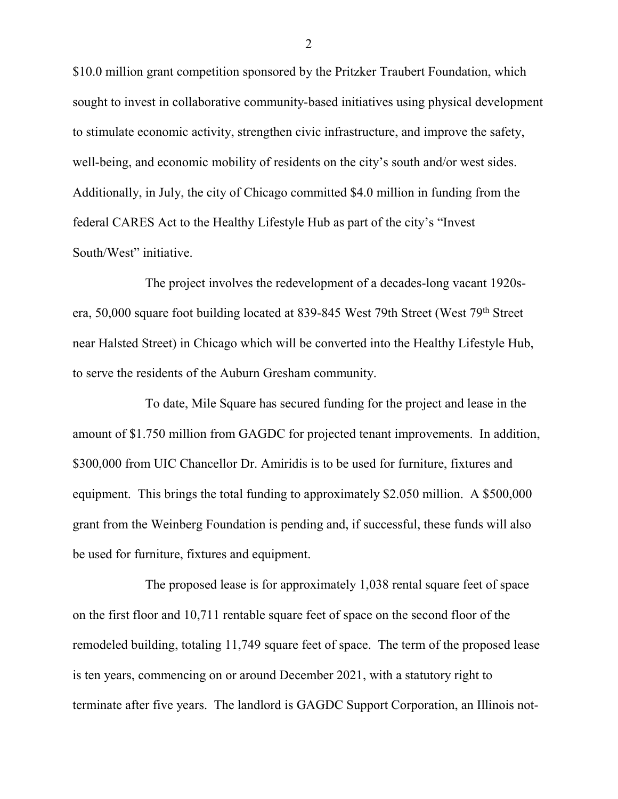\$10.0 million grant competition sponsored by the Pritzker Traubert Foundation, which sought to invest in collaborative community-based initiatives using physical development to stimulate economic activity, strengthen civic infrastructure, and improve the safety, well-being, and economic mobility of residents on the city's south and/or west sides. Additionally, in July, the city of Chicago committed \$4.0 million in funding from the federal CARES Act to the Healthy Lifestyle Hub as part of the city's "Invest South/West" initiative.

The project involves the redevelopment of a decades-long vacant 1920sera, 50,000 square foot building located at 839-845 West 79th Street (West 79th Street near Halsted Street) in Chicago which will be converted into the Healthy Lifestyle Hub, to serve the residents of the Auburn Gresham community.

To date, Mile Square has secured funding for the project and lease in the amount of \$1.750 million from GAGDC for projected tenant improvements. In addition, \$300,000 from UIC Chancellor Dr. Amiridis is to be used for furniture, fixtures and equipment. This brings the total funding to approximately \$2.050 million. A \$500,000 grant from the Weinberg Foundation is pending and, if successful, these funds will also be used for furniture, fixtures and equipment.

The proposed lease is for approximately 1,038 rental square feet of space on the first floor and 10,711 rentable square feet of space on the second floor of the remodeled building, totaling 11,749 square feet of space. The term of the proposed lease is ten years, commencing on or around December 2021, with a statutory right to terminate after five years. The landlord is GAGDC Support Corporation, an Illinois not-

2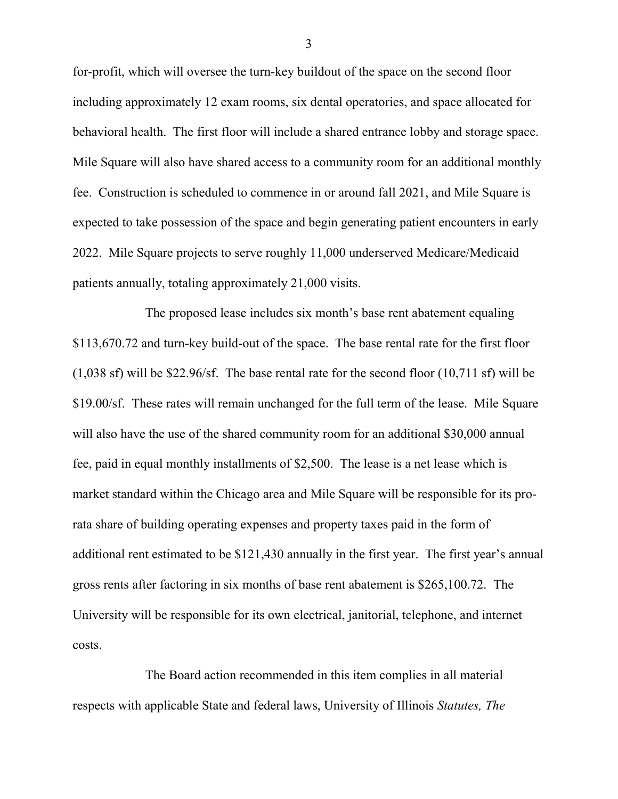for-profit, which will oversee the turn-key buildout of the space on the second floor including approximately 12 exam rooms, six dental operatories, and space allocated for behavioral health. The first floor will include a shared entrance lobby and storage space. Mile Square will also have shared access to a community room for an additional monthly fee. Construction is scheduled to commence in or around fall 2021, and Mile Square is expected to take possession of the space and begin generating patient encounters in early 2022. Mile Square projects to serve roughly 11,000 underserved Medicare/Medicaid patients annually, totaling approximately 21,000 visits.

The proposed lease includes six month's base rent abatement equaling \$113,670.72 and turn-key build-out of the space. The base rental rate for the first floor (1,038 sf) will be \$22.96/sf. The base rental rate for the second floor (10,711 sf) will be \$19.00/sf. These rates will remain unchanged for the full term of the lease. Mile Square will also have the use of the shared community room for an additional \$30,000 annual fee, paid in equal monthly installments of \$2,500. The lease is a net lease which is market standard within the Chicago area and Mile Square will be responsible for its prorata share of building operating expenses and property taxes paid in the form of additional rent estimated to be \$121,430 annually in the first year. The first year's annual gross rents after factoring in six months of base rent abatement is \$265,100.72. The University will be responsible for its own electrical, janitorial, telephone, and internet costs.

The Board action recommended in this item complies in all material respects with applicable State and federal laws, University of Illinois *Statutes, The* 

3